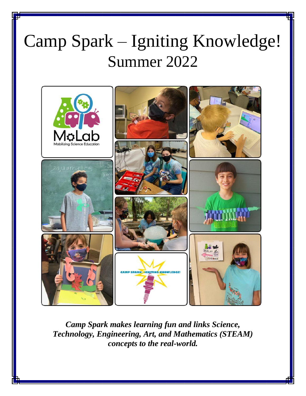# Summer 2022 Camp Spark – Igniting Knowledge!



*Camp Spark makes learning fun and links Science, Technology, Engineering, Art, and Mathematics (STEAM) concepts to the real-world.*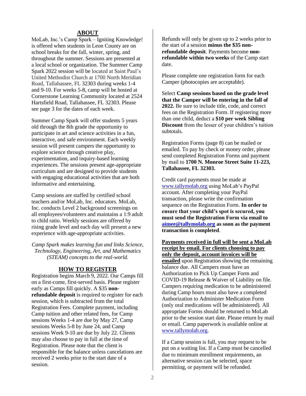#### **ABOUT**

MoLab, Inc.'s Camp Spark – Igniting Knowledge! is offered when students in Leon County are on school breaks for the fall, winter, spring, and throughout the summer. Sessions are presented at a local school or organization. The Summer Camp Spark 2022 session will be located at Saint Paul's United Methodist Church at 1700 North Meridian Road, Tallahassee, FL 32303 during weeks 1-4 and 9-10. For weeks 5-8, camp will be hosted at Cornerstone Learning Community located at 2524 Hartsfield Road, Tallahassee, FL 32303. Please see page 3 for the dates of each week.

Summer Camp Spark will offer students 5 years old through the 8th grade the opportunity to participate in art and science activities in a fun, interactive, and safe environment. Each weekly session will present campers the opportunity to explore science through creative play, experimentation, and inquiry-based learning experiences. The sessions present age-appropriate curriculum and are designed to provide students with engaging educational activities that are both informative and entertaining.

Camp sessions are staffed by certified school teachers and/or MoLab, Inc. educators. MoLab, Inc. conducts Level 2 background screenings on all employees/volunteers and maintains a 1:9 adult to child ratio. Weekly sessions are offered by rising grade level and each day will present a new experience with age-appropriate activities.

*Camp Spark makes learning fun and links Science, Technology, Engineering, Art, and Mathematics (STEAM) concepts to the real-world.*

#### **HOW TO REGISTER**

Registration begins March 9, 2022. Our Camps fill on a first-come, first-served basis. Please register early as Camps fill quickly. A \$35 **nonrefundable deposit** is required to register for each session, which is subtracted from the total Registration Fees. Complete payment, including Camp tuition and other related fees, for Camp sessions Weeks 1-4 are due by May 27, Camp sessions Weeks 5-8 by June 24, and Camp sessions Week 9-10 are due by July 22. Clients may also choose to pay in full at the time of Registration. Please note that the client is responsible for the balance unless cancelations are received 2 weeks prior to the start date of a session.

Refunds will only be given up to 2 weeks prior to the start of a session **minus the \$35 nonrefundable deposit**. Payments become **nonrefundable within two weeks** of the Camp start date.

Please complete one registration form for each Camper (photocopies are acceptable).

Select **Camp sessions based on the grade level that the Camper will be entering in the fall of 2022.** Be sure to include title, code, and correct fees on the Registration Form. If registering more than one child, deduct a **\$10 per week Sibling Discount** from the lesser of your children's tuition subtotals.

Registration Forms (page 8) can be mailed or emailed. To pay by check or money order, please send completed Registration Forms and payment by mail to **1700 N. Monroe Street Suite 11-223, Tallahassee, FL 32303.** 

Credit card payments must be made at www.tallymolab.org using MoLab's PayPal account. After completing your PayPal transaction, please write the confirmation sequence on the Registration Form. **In order to ensure that your child's spot is secured, you must send the Registration Form via email to aimee@tallymolab.org as soon as the payment transaction is completed**.

**Payments received in full will be sent a MoLab receipt by email. For clients choosing to pay only the deposit, account invoices will be emailed** upon Registration showing the remaining balance due. All Campers must have an Authorization to Pick Up Camper Form and COVID-19 Release & Waiver of Liability on file. Campers requiring medication to be administered during Camp hours must also have a completed Authorization to Administer Medication Form (only oral medications will be administered). All appropriate Forms should be returned to MoLab prior to the session start date. Please return by mail or email. Camp paperwork is available online at www.tallymolab.org.

If a Camp session is full, you may request to be put on a waiting list. If a Camp must be cancelled due to minimum enrollment requirements, an alternative session can be selected, space permitting, or payment will be refunded.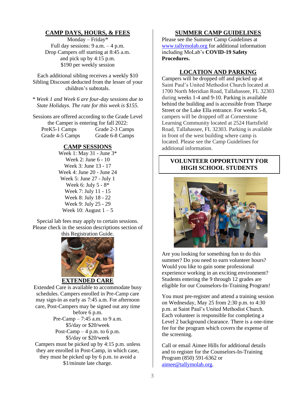## **CAMP DAYS, HOURS, & FEES**

Monday – Friday\* Full day sessions:  $9 a.m. - 4 p.m.$ Drop Campers off starting at 8:45 a.m. and pick up by 4:15 p.m. \$190 per weekly session

Each additional sibling receives a weekly \$10 Sibling Discount deducted from the lesser of your children's subtotals.

*\* Week 1 and Week 6 are four-day sessions due to State Holidays. The rate for this week is \$155.*

Sessions are offered according to the Grade Level the Camper is entering for fall 2022: PreK5-1 Camps Grade 2-3 Camps Grade 4-5 Camps Grade 6-8 Camps

#### **CAMP SESSIONS**

Week 1: May 31 - June 3\* Week 2: June 6 - 10 Week 3: June 13 - 17 Week 4: June 20 - June 24 Week 5: June 27 - July 1 Week 6: July 5 - 8\* Week 7: July 11 - 15 Week 8: July 18 - 22 Week 9: July 25 - 29 Week 10: August  $1 - 5$ 

Special lab fees may apply to certain sessions. Please check in the session descriptions section of



Extended Care is available to accommodate busy schedules. Campers enrolled in Pre-Camp care may sign-in as early as 7:45 a.m. For afternoon care, Post-Campers may be signed out any time before 6 p.m. Pre-Camp – 7:45 a.m. to 9 a.m. \$5/day or \$20/week Post-Camp  $-4$  p.m. to 6 p.m. \$5/day or \$20/week Campers must be picked up by 4:15 p.m. unless they are enrolled in Post-Camp, in which case, they must be picked up by 6 p.m. to avoid a \$1/minute late charge.

#### **SUMMER CAMP GUIDELINES**

Please see the Summer Camp Guidelines at www.tallymolab.org for additional information including MoLab's **COVID-19 Safety Procedures.** 

#### **LOCATION AND PARKING**

Campers will be dropped off and picked up at Saint Paul's United Methodist Church located at 1700 North Meridian Road, Tallahassee, FL 32303 during weeks 1-4 and 9-10. Parking is available behind the building and is accessible from Tharpe Street or the Lake Ella entrance. For weeks 5-8, campers will be dropped off at Cornerstone Learning Community located at 2524 Hartsfield Road, Tallahassee, FL 32303. Parking is available in front of the west building where camp is located. Please see the Camp Guidelines for additional information.

#### **VOLUNTEER OPPORTUNITY FOR HIGH SCHOOL STUDENTS**



Are you looking for something fun to do this summer? Do you need to earn volunteer hours? Would you like to gain some professional experience working in an exciting environment? Students entering the 9 through 12 grades are eligible for our Counselors-In-Training Program!

You must pre-register and attend a training session on Wednesday, May 25 from 2:30 p.m. to 4:30 p.m. at Saint Paul's United Methodist Church. Each volunteer is responsible for completing a Level 2 background clearance. There is a one-time fee for the program which covers the expense of the screening.

Call or email Aimee Hills for additional details and to register for the Counselors-In-Training Program (850) 591-6362 or aimee@tallymolab.org.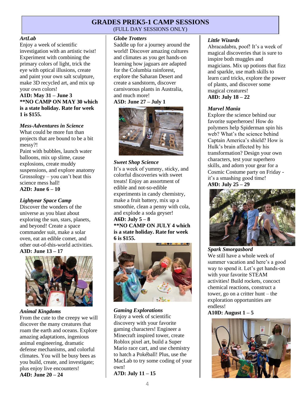# **GRADES PREK5-1 CAMP SESSIONS**

(FULL DAY SESSIONS ONLY)

#### *ArtLab*

Enjoy a week of scientific investigation with an artistic twist! Experiment with combining the primary colors of light, trick the eye with optical illusions, create and paint your own salt sculpture, make 3D recycled art, and mix up your own colors!

**A1D: May 31 – June 3 \*\*NO CAMP ON MAY 30 which is a state holiday. Rate for week 1 is \$155.** 

#### *Mess-Adventures in Science*

What could be more fun than projects that are bound to be a bit messy?!

Paint with bubbles, launch water balloons, mix up slime, cause explosions, create muddy suspensions, and explore anatomy Grossology – you can't beat this science mess hall! **A2D: June 6 – 10** 

#### *Lightyear Space Camp*

Discover the wonders of the universe as you blast about exploring the sun, stars, planets, and beyond! Create a space commander suit, make a solar oven, eat an edible comet, and other out-of-this-world activities. **A3D: June 13 – 17** 





#### *Animal Kingdoms*

From the cute to the creepy we will discover the many creatures that roam the earth and oceans. Explore amazing adaptations, ingenious animal engineering, dramatic defense mechanisms, and colorful climates. You will be busy bees as you build, create, and investigate; plus enjoy live encounters! **A4D: June 20 – 24**

#### *Globe Trotters*

Saddle up for a journey around the world! Discover amazing cultures and climates as you get hands-on learning how jaguars are adapted for the Columbia rainforest, explore the Saharan Desert and create a sandstorm, discover carnivorous plants in Australia, and much more!

**A5D: June 27 – July 1** 



#### *Sweet Shop Science*

It's a week of yummy, sticky, and colorful discoveries with sweet treats! Enjoy an assortment of edible and not-so-edible experiments in candy chemistry, make a fruit battery, mix up a smoothie, clean a penny with cola, and explode a soda geyser! **A6D: July 5 – 8 \*\*NO CAMP ON JULY 4 which is a state holiday. Rate for week 6 is \$155.** 



#### *Gaming Explorations*

Enjoy a week of scientific discovery with your favorite gaming characters! Engineer a Minecraft inspired tower, create Roblox pixel art, build a Super Mario race cart, and use chemistry to hatch a Pokéball! Plus, use the MacLab to try some coding of your own!

**A7D: July 11 – 15** 

#### *Little Wizards*

Abracadabra, poof! It's a week of magical discoveries that is sure to inspire both muggles and magicians. Mix up potions that fizz and sparkle, use math skills to learn card tricks, explore the power of plants, and discover some magical creatures! **A8D: July 18 – 22** 

#### *Marvel Mania*

Explore the science behind our favorite superheroes! How do polymers help Spiderman spin his web? What's the science behind Captain America's shield? How is Hulk's brain affected by his transformation? Design your own characters, test your superhero skills, and adorn your gear for a Cosmic Costume party on Friday it's a smashing good time! **A9D: July 25 – 29** 



# *Spark Smorgasbord*

We still have a whole week of summer vacation and here's a good way to spend it. Let's get hands-on with your favorite STEAM activities! Build rockets, concoct chemical reactions, construct a tower, go on a critter hunt – the exploration opportunities are endless!

**A10D: August 1 – 5**

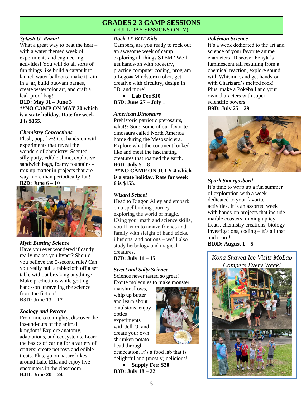# **GRADES 2-3 CAMP SESSIONS**  (FULL DAY SESSIONS ONLY)

#### *Splash O' Rama!*

What a great way to beat the heat  $$ with a water themed week of experiments and engineering activities! You will do all sorts of fun things like build a catapult to launch water balloons, make it rain in a jar, build buoyant barges, create watercolor art, and craft a leak proof bag! **B1D: May 31 – June 3 \*\*NO CAMP ON MAY 30 which** 

**is a state holiday. Rate for week 1 is \$155.** 

#### *Chemistry Concoctions*

Flash, pop, fizz! Get hands-on with experiments that reveal the wonders of chemistry. Scented silly putty, edible slime, explosive sandwich bags, foamy fountains mix up matter in projects that are way more than periodically fun! **B2D: June 6 – 10** 





#### *Myth Busting Science*

Have you ever wondered if candy really makes you hyper? Should you believe the 5-second rule? Can you really pull a tablecloth off a set table without breaking anything? Make predictions while getting hands-on unraveling the science from the fiction! **B3D: June 13 – 17**

#### *Zoology and Petcare*

From micro to mighty, discover the ins-and-outs of the animal kingdom! Explore anatomy, adaptations, and ecosystems. Learn the basics of caring for a variety of critters; create pet toys and edible treats. Plus, go on nature hikes around Lake Ella and enjoy live encounters in the classroom! **B4D: June 20 – 24**

#### *Rock-IT-BOT Kids*

Campers, are you ready to rock out an awesome week of camp exploring all things STEM? We'll get hands-on with rocketry, practice computer coding, program a Lego® Mindstorm robot, get creative with circuitry, design in 3D, and more!

• **Lab Fee \$10 B5D: June 27 – July 1**

#### *American Dinosaurs*

Prehistoric patriotic pterosaurs, what!? Sure, some of our favorite dinosaurs called North America home during the Mesozoic era. Explore what the continent looked like and meet the fascinating creatures that roamed the earth. **B6D: July 5 – 8**

**\*\*NO CAMP ON JULY 4 which is a state holiday. Rate for week 6 is \$155.** 

#### *Wizard School*

Head to Diagon Alley and embark on a spellbinding journey exploring the world of magic. Using your math and science skills, you'll learn to amaze friends and family with sleight of hand tricks, illusions, and potions – we'll also study herbology and magical creatures.

#### **B7D: July 11 – 15**

#### *Sweet and Salty Science*

Science never tasted so great! Excite molecules to make monster

marshmallows, whip up butter and learn about emulsions, enjoy optics experiments with Jell-O, and create your own shrunken potato head through



desiccation. It's a food lab that is delightful and (mostly) delicious!

• **Supply Fee: \$20 B8D: July 18 – 22**

#### *Pokémon Science*

It's a week dedicated to the art and science of your favorite anime characters! Discover Ponyta's luminescent tail resulting from a chemical reaction, explore sound with Whismur, and get hands-on with Charizard's melted rock! Plus, make a Pokéball and your own characters with super scientific powers! **B9D: July 25 – 29**



#### *Spark Smorgasbord*

It's time to wrap up a fun summer of exploration with a week dedicated to your favorite activities. It is an assorted week with hands-on projects that include marble coasters, mixing up icy treats, chemistry creations, biology investigations, coding – it's all that and more!

#### **B10D: August 1 – 5**

*Kona Shaved Ice Visits MoLab Campers Every Week!*

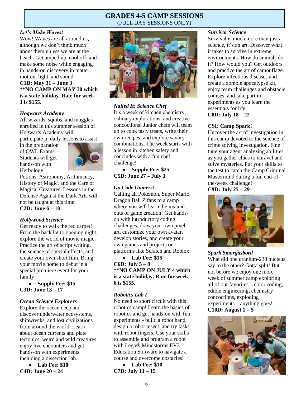# **GRADES 4-5 CAMP SESSIONS**  (FULL DAY SESSIONS ONLY)

#### *Let's Make Waves!*

Wow! Waves are all around us, although we don't think much about them unless we are at the beach. Get amped up, cool off, and make some noise while engaging in hands-on discovery in matter, motion, light, and sound. **C1D: May 31 – June 3 \*\*NO CAMP ON MAY 30 which is a state holiday. Rate for week 1 is \$155.**

#### *Hogwarts Academy*

All wizards, squibs, and muggles enrolled in this summer session of Hogwarts Academy will participate in daily lessons to assist

in the preparation of OWL Exams. Students will get hands-on with Herbology,



Potions, Astronomy, Arithmancy, History of Magic, and the Care of Magical Creatures. Lessons in the Defense Against the Dark Arts will not be taught at this time. **C2D: June 6 – 10**

#### *Hollywood Science*

Get ready to walk the red carpet! From the back lot to opening night, explore the world of movie magic. Practice the art of script writing, the science of special effects, and create your own short film. Bring your movie home to debut in a special premiere event for your family!

• **Supply Fee: \$15 C3D: June 13 – 17** 

#### *Ocean Science Explorers*

Explore the ocean deep and discover underwater ecosystems, shipwrecks, and lost civilizations from around the world. Learn about ocean currents and plate tectonics, weird and wild creatures; enjoy live encounters and get hands-on with experiments including a dissection lab.

• **Lab Fee: \$10 C4D: June 20 – 24** 



#### *Nailed It: Science Chef*

It's a week of kitchen chemistry, culinary explorations, and creative concoctions! Junior chefs will team up to cook tasty treats, write their own recipes, and explore savory combinations. The week starts with a lesson in kitchen safety and concludes with a fun chef challenge!

• **Supply Fee: \$25 C5D: June 27 – July 1** 

#### *Go Code Gamers!*

Calling all Pokémon, Super Mario, Dragon Ball Z fans to a camp where you will learn the ins-andouts of game creation! Get handson with introductory coding challenges, draw your own pixel art, customize your own avatar, develop stories, and create your own games and projects on platforms like Scratch and Roblox.

• **Lab Fee: \$15 C6D: July 5 – 8 \*\*NO CAMP ON JULY 4 which is a state holiday. Rate for week 6 is \$155.**

#### *Robotics Lab I*

No need to short circuit with this robotics camp! Learn the basics of robotics and get hands-on with fun experiments - build a robot hand, design a robot insect, and try tasks with robot fingers. Use your skills to assemble and program a robot with Lego® Mindstorms EV3 Education Software to navigate a course and overcome obstacles!

• **Lab Fee: \$10 C7D: July 11 – 15** 

#### *Survivor Science*

Survival is much more than just a science, it's an art. Discover what it takes to survive in extreme environments. How do animals do it? How would you? Get outdoors and practice the art of camouflage. Explore infectious diseases and create a zombie apocalypse kit, enjoy team challenges and obstacle courses, and take part in experiments as you learn the essentials for life.

**C8D: July 18 – 22** 

#### **CSI: Camp Spark!**

Uncover the art of investigation in this camp devoted to the science of crime solving investigation. Fine tune your agent analyzing abilities as you gather clues to unravel and solve mysteries. Put your skills to the test to catch the Camp Criminal Mastermind during a fun end-ofthe-week challenge! **C9D: July 25 – 29** 



#### *Spark Smorgasbord*

What did one uranium-238 nucleus say to the other? Gotta split! But not before we enjoy one more week of summer camp exploring all of our favorites – color coding, edible engineering, chemistry concoctions, exploding experiments – anything goes! **C10D: August 1 – 5** 

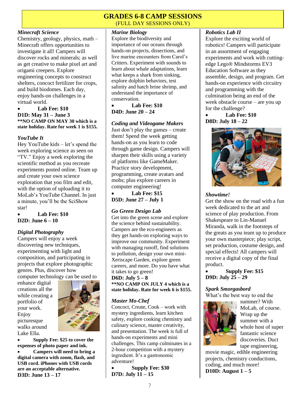# **GRADES 6-8 CAMP SESSIONS**  (FULL DAY SESSIONS ONLY)

#### *Minecraft Science*

Chemistry, geology, physics, math – Minecraft offers opportunities to investigate it all! Campers will discover rocks and minerals; as well as get creative to make pixel art and origami creepers. Explore engineering concepts to construct shelters, concoct fertilizer for crops, and build biodomes. Each day, enjoy hands-on challenges in a virtual world.

#### • **Lab Fee: \$10 D1D: May 31 – June 3 \*\*NO CAMP ON MAY 30 which is a state holiday. Rate for week 1 is \$155.**

#### *YouTube It*

Hey YouTube kids – let's spend the week exploring science as seen on "TV." Enjoy a week exploring the scientific method as you recreate experiments posted online. Team up and create your own science exploration that you film and edit, with the option of uploading it to MoLab's YouTube Channel. In just a minute, you'll be the SciShow star!

• **Lab Fee: \$10 D2D: June 6 – 10** 

# *Digital Photography*

Campers will enjoy a week discovering new techniques, experimenting with light and composition, and participating in projects that explore photographic genres. Plus, discover how computer technology can be used to

enhance digital creations all the while creating a portfolio of your work. Enjoy picturesque walks around Lake Ella.



• **Supply Fee: \$25 to cover the expenses of photo paper and ink.**

• **Campers will need to bring a digital camera with zoom, flash, and USB cord. iPhones with USB cords are an acceptable alternative. D3D: June 13 – 17**

# *Marine Biology*

Explore the biodiversity and importance of our oceans through hands-on projects, dissections, and live marine encounters from Carol's Critters. Experiment with sounds to learn about whale adaptations, learn what keeps a shark from sinking, explore dolphin behaviors, test salinity and hatch brine shrimp, and understand the importance of conservation.

• **Lab Fee: \$10 D4D: June 20 – 24**

#### *Coding and Videogame Makers*

Just don't play the games – create them! Spend the week getting hands-on as you learn to code through game design. Campers will sharpen their skills using a variety of platforms like GameMaker. Practice story development, programming, create avatars and mobs; plus explore careers in computer engineering!

• **Lab Fee: \$15 D5D: June 27 – July 1**

#### *Go Green Design Lab*

Get into the green scene and explore the science behind sustainability. Campers are the eco-engineers as they get hands-on exploring ways to improve our community. Experiment with managing runoff, find solutions to pollution, design your own mini-Xeriscape Garden, explore green careers, and more. Do you have what it takes to go green!

**D6D: July 5 – 8 \*\*NO CAMP ON JULY 4 which is a state holiday. Rate for week 6 is \$155.**

# *Master Mo-Chef*

Concoct, Create, Cook – work with mystery ingredients, learn kitchen safety, explore cooking chemistry and culinary science, master creativity, and presentation. The week is full of hands-on experiments and mini challenges. This camp culminates in a 2-hour competition with a mystery ingredient. It's a gastronomic adventure!

• **Supply Fee: \$30 D7D: July 11 – 15** 

#### *Robotics Lab II*

Explore the exciting world of robotics! Campers will participate in an assortment of engaging experiments and work with cuttingedge Lego® Mindstorms EV3 Education Software as they assemble, design, and program. Get hands-on experience with circuitry and programming with the culmination being an end of the week obstacle course – are you up for the challenge?

#### • **Lab Fee: \$10 D8D: July 18 – 22**



## *Showtime!*

Get the show on the road with a fun week dedicated to the art and science of play production. From Shakespeare to Lin-Manuel Miranda, walk in the footsteps of the greats as you team up to produce your own masterpiece; play script, set production, costume design, and special effects! All campers will receive a digital copy of the final product.

• **Supply Fee: \$15 D9D: July 25 – 29** 

#### *Spark Smorgasbord*

What's the best way to end the



summer? With MoLab, of course. Wrap up the summer with a whole host of super fantastic science discoveries. Duct tape engineering,

movie magic, edible engineering projects, chemistry conductions, coding, and much more! **D10D: August 1 – 5**